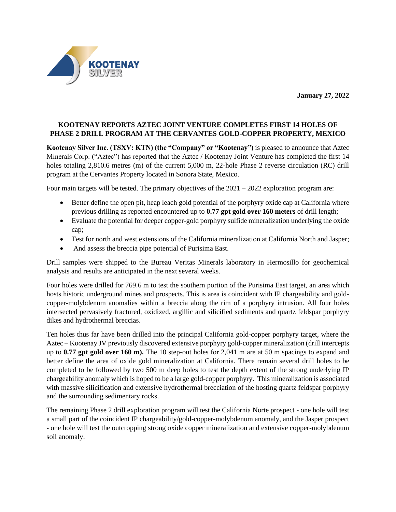**January 27, 2022**



# **KOOTENAY REPORTS AZTEC JOINT VENTURE COMPLETES FIRST 14 HOLES OF PHASE 2 DRILL PROGRAM AT THE CERVANTES GOLD-COPPER PROPERTY, MEXICO**

**Kootenay Silver Inc. (TSXV: KTN) (the "Company" or "Kootenay")** is pleased to announce that Aztec Minerals Corp. ("Aztec") has reported that the Aztec / Kootenay Joint Venture has completed the first 14 holes totaling 2,810.6 metres (m) of the current 5,000 m, 22-hole Phase 2 reverse circulation (RC) drill program at the Cervantes Property located in Sonora State, Mexico.

Four main targets will be tested. The primary objectives of the 2021 – 2022 exploration program are:

- Better define the open pit, heap leach gold potential of the porphyry oxide cap at California where previous drilling as reported encountered up to **0.77 gpt gold over 160 meters** of drill length;
- Evaluate the potential for deeper copper-gold porphyry sulfide mineralization underlying the oxide cap;
- Test for north and west extensions of the California mineralization at California North and Jasper;
- And assess the breccia pipe potential of Purisima East.

Drill samples were shipped to the Bureau Veritas Minerals laboratory in Hermosillo for geochemical analysis and results are anticipated in the next several weeks.

Four holes were drilled for 769.6 m to test the southern portion of the Purisima East target, an area which hosts historic underground mines and prospects. This is area is coincident with IP chargeability and goldcopper-molybdenum anomalies within a breccia along the rim of a porphyry intrusion. All four holes intersected pervasively fractured, oxidized, argillic and silicified sediments and quartz feldspar porphyry dikes and hydrothermal breccias.

Ten holes thus far have been drilled into the principal California gold-copper porphyry target, where the Aztec – Kootenay JV previously discovered extensive porphyry gold-copper mineralization (drill intercepts up to **0.77 gpt gold over 160 m).** The 10 step-out holes for 2,041 m are at 50 m spacings to expand and better define the area of oxide gold mineralization at California. There remain several drill holes to be completed to be followed by two 500 m deep holes to test the depth extent of the strong underlying IP chargeability anomaly which is hoped to be a large gold-copper porphyry. This mineralization is associated with massive silicification and extensive hydrothermal brecciation of the hosting quartz feldspar porphyry and the surrounding sedimentary rocks.

The remaining Phase 2 drill exploration program will test the California Norte prospect - one hole will test a small part of the coincident IP chargeability/gold-copper-molybdenum anomaly, and the Jasper prospect - one hole will test the outcropping strong oxide copper mineralization and extensive copper-molybdenum soil anomaly.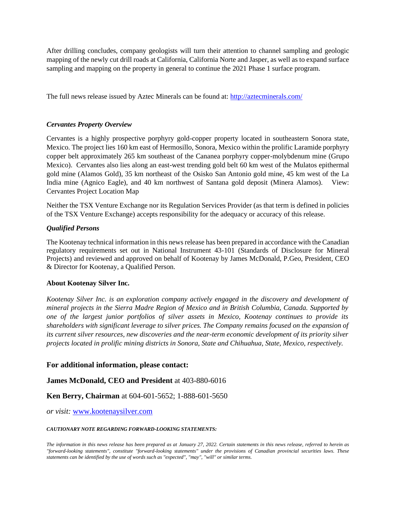After drilling concludes, company geologists will turn their attention to channel sampling and geologic mapping of the newly cut drill roads at California, California Norte and Jasper, as well as to expand surface sampling and mapping on the property in general to continue the 2021 Phase 1 surface program.

The full news release issued by Aztec Minerals can be found at:<http://aztecminerals.com/>

### *Cervantes Property Overview*

Cervantes is a highly prospective porphyry gold-copper property located in southeastern Sonora state, Mexico. The project lies 160 km east of Hermosillo, Sonora, Mexico within the prolific Laramide porphyry copper belt approximately 265 km southeast of the Cananea porphyry copper-molybdenum mine (Grupo Mexico). Cervantes also lies along an east-west trending gold belt 60 km west of the Mulatos epithermal gold mine (Alamos Gold), 35 km northeast of the Osisko San Antonio gold mine, 45 km west of the La India mine (Agnico Eagle), and 40 km northwest of Santana gold deposit (Minera Alamos). View: Cervantes Project Location Map

Neither the TSX Venture Exchange nor its Regulation Services Provider (as that term is defined in policies of the TSX Venture Exchange) accepts responsibility for the adequacy or accuracy of this release.

### *Qualified Persons*

The Kootenay technical information in this news release has been prepared in accordance with the Canadian regulatory requirements set out in National Instrument 43-101 (Standards of Disclosure for Mineral Projects) and reviewed and approved on behalf of Kootenay by James McDonald, P.Geo, President, CEO & Director for Kootenay, a Qualified Person.

### **About Kootenay Silver Inc.**

*Kootenay Silver Inc. is an exploration company actively engaged in the discovery and development of mineral projects in the Sierra Madre Region of Mexico and in British Columbia, Canada. Supported by one of the largest junior portfolios of silver assets in Mexico, Kootenay continues to provide its shareholders with significant leverage to silver prices. The Company remains focused on the expansion of its current silver resources, new discoveries and the near-term economic development of its priority silver projects located in prolific mining districts in Sonora, State and Chihuahua, State, Mexico, respectively.*

# **For additional information, please contact:**

# **James McDonald, CEO and President** at 403-880-6016

**Ken Berry, Chairman** at 604-601-5652; 1-888-601-5650

*or visit:* [www.kootenaysilver.com](http://www.kootenaysilver.com/)

#### *CAUTIONARY NOTE REGARDING FORWARD-LOOKING STATEMENTS:*

*The information in this news release has been prepared as at January 27, 2022. Certain statements in this news release, referred to herein as "forward-looking statements", constitute "forward-looking statements" under the provisions of Canadian provincial securities laws. These statements can be identified by the use of words such as "expected", "may", "will" or similar terms.*